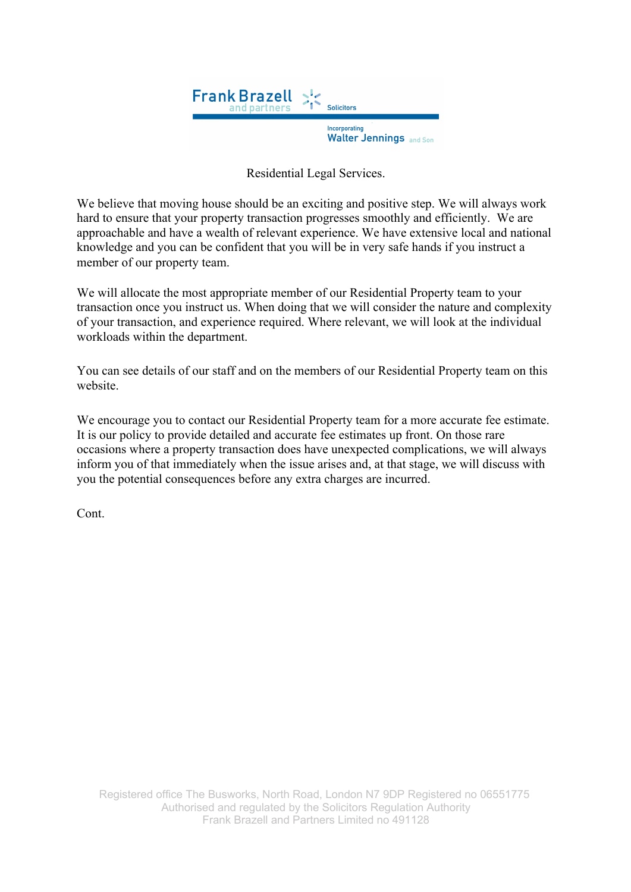

Residential Legal Services.

We believe that moving house should be an exciting and positive step. We will always work hard to ensure that your property transaction progresses smoothly and efficiently. We are approachable and have a wealth of relevant experience. We have extensive local and national knowledge and you can be confident that you will be in very safe hands if you instruct a member of our property team.

We will allocate the most appropriate member of our Residential Property team to your transaction once you instruct us. When doing that we will consider the nature and complexity of your transaction, and experience required. Where relevant, we will look at the individual workloads within the department.

You can see details of our staff and on the members of our Residential Property team on this website.

We encourage you to contact our Residential Property team for a more accurate fee estimate. It is our policy to provide detailed and accurate fee estimates up front. On those rare occasions where a property transaction does have unexpected complications, we will always inform you of that immediately when the issue arises and, at that stage, we will discuss with you the potential consequences before any extra charges are incurred.

Cont.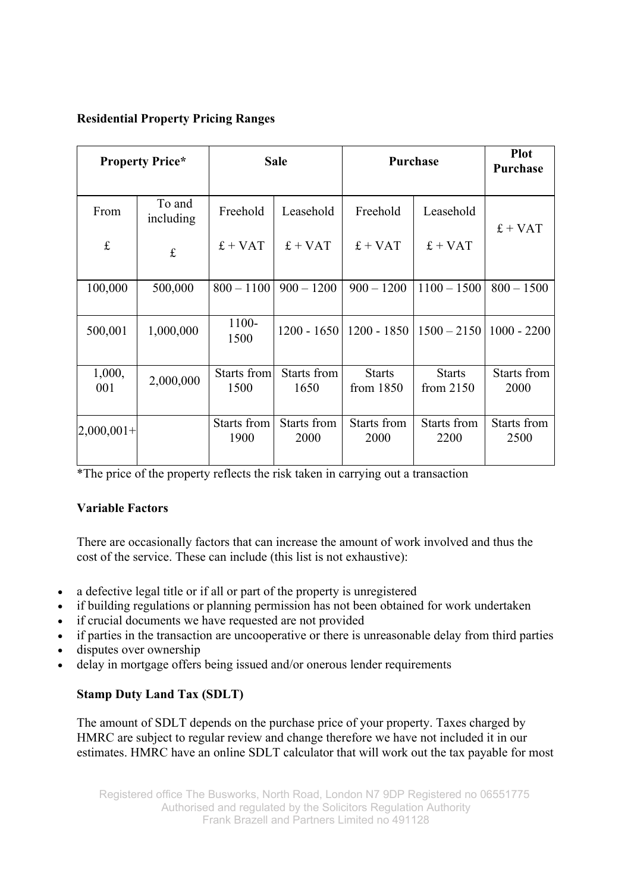## **Residential Property Pricing Ranges**

| <b>Property Price*</b> |                     | <b>Sale</b>         |                     | Purchase                     |                              | <b>Plot</b><br><b>Purchase</b> |
|------------------------|---------------------|---------------------|---------------------|------------------------------|------------------------------|--------------------------------|
| From                   | To and<br>including | Freehold            | Leasehold           | Freehold                     | Leasehold                    | $f + VAT$                      |
| $\mathbf f$            | £                   | $f + VAT$           | $£ + VAT$           | $f + VAT$                    | $f + VAT$                    |                                |
| 100,000                | 500,000             | $800 - 1100$        | $900 - 1200$        | $900 - 1200$                 | $1100 - 1500$                | $800 - 1500$                   |
| 500,001                | 1,000,000           | 1100-<br>1500       | $1200 - 1650$       | $1200 - 1850$                | $1500 - 2150$                | $1000 - 2200$                  |
| 1,000,<br>001          | 2,000,000           | Starts from<br>1500 | Starts from<br>1650 | <b>Starts</b><br>from $1850$ | <b>Starts</b><br>from $2150$ | Starts from<br>2000            |
| $ 2,000,001+ $         |                     | Starts from<br>1900 | Starts from<br>2000 | Starts from<br>2000          | Starts from<br>2200          | Starts from<br>2500            |

\*The price of the property reflects the risk taken in carrying out a transaction

# **Variable Factors**

There are occasionally factors that can increase the amount of work involved and thus the cost of the service. These can include (this list is not exhaustive):

- a defective legal title or if all or part of the property is unregistered
- if building regulations or planning permission has not been obtained for work undertaken
- if crucial documents we have requested are not provided
- if parties in the transaction are uncooperative or there is unreasonable delay from third parties
- disputes over ownership
- delay in mortgage offers being issued and/or onerous lender requirements

# **Stamp Duty Land Tax (SDLT)**

The amount of SDLT depends on the purchase price of your property. Taxes charged by HMRC are subject to regular review and change therefore we have not included it in our estimates. HMRC have an online SDLT calculator that will work out the tax payable for most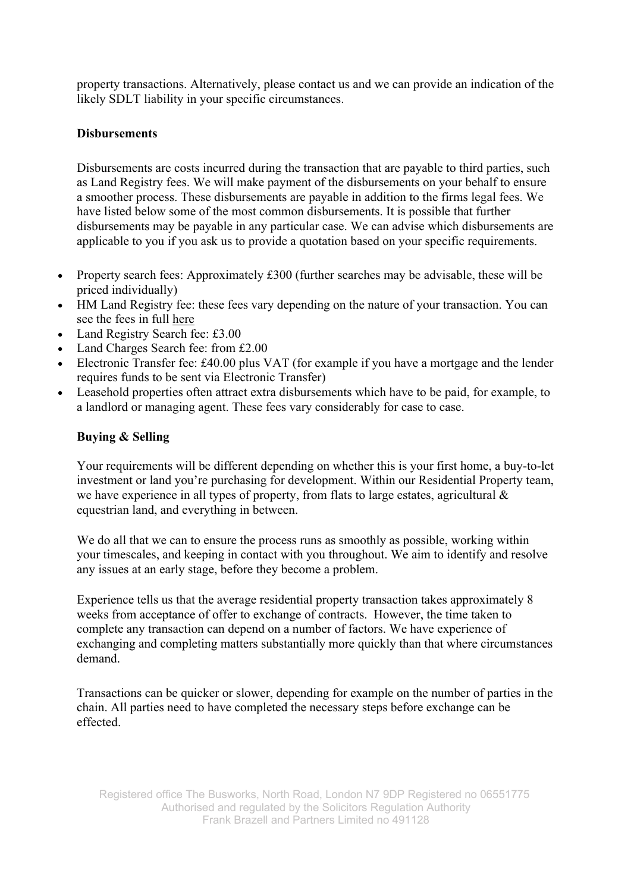property transactions. Alternatively, please contact us and we can provide an indication of the likely SDLT liability in your specific circumstances.

### **Disbursements**

Disbursements are costs incurred during the transaction that are payable to third parties, such as Land Registry fees. We will make payment of the disbursements on your behalf to ensure a smoother process. These disbursements are payable in addition to the firms legal fees. We have listed below some of the most common disbursements. It is possible that further disbursements may be payable in any particular case. We can advise which disbursements are applicable to you if you ask us to provide a quotation based on your specific requirements.

- Property search fees: Approximately £300 (further searches may be advisable, these will be priced individually)
- HM Land Registry fee: these fees vary depending on the nature of your transaction. You can see the fees in full here
- Land Registry Search fee: £3.00
- Land Charges Search fee: from £2.00
- Electronic Transfer fee: £40.00 plus VAT (for example if you have a mortgage and the lender requires funds to be sent via Electronic Transfer)
- Leasehold properties often attract extra disbursements which have to be paid, for example, to a landlord or managing agent. These fees vary considerably for case to case.

### **Buying & Selling**

Your requirements will be different depending on whether this is your first home, a buy-to-let investment or land you're purchasing for development. Within our Residential Property team, we have experience in all types of property, from flats to large estates, agricultural & equestrian land, and everything in between.

We do all that we can to ensure the process runs as smoothly as possible, working within your timescales, and keeping in contact with you throughout. We aim to identify and resolve any issues at an early stage, before they become a problem.

Experience tells us that the average residential property transaction takes approximately 8 weeks from acceptance of offer to exchange of contracts. However, the time taken to complete any transaction can depend on a number of factors. We have experience of exchanging and completing matters substantially more quickly than that where circumstances demand.

Transactions can be quicker or slower, depending for example on the number of parties in the chain. All parties need to have completed the necessary steps before exchange can be effected.